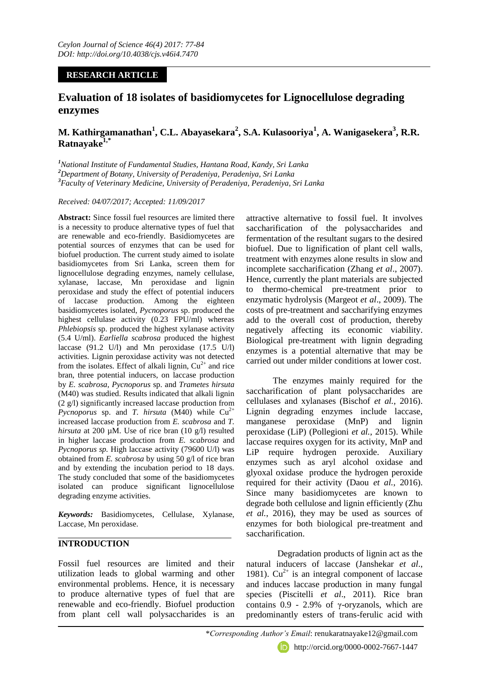## **RESEARCH ARTICLE**

# **Evaluation of 18 isolates of basidiomycetes for Lignocellulose degrading enzymes**

# **M. Kathirgamanathan<sup>1</sup> , C.L. Abayasekara<sup>2</sup> , S.A. Kulasooriya<sup>1</sup> , A. Wanigasekera<sup>3</sup> , R.R. Ratnayake1,\***

*<sup>1</sup>National Institute of Fundamental Studies, Hantana Road, Kandy, Sri Lanka <sup>2</sup>Department of Botany, University of Peradeniya, Peradeniya, Sri Lanka <sup>3</sup>Faculty of Veterinary Medicine, University of Peradeniya, Peradeniya, Sri Lanka*

#### *Received: 04/07/2017; Accepted: 11/09/2017*

**Abstract:** Since fossil fuel resources are limited there is a necessity to produce alternative types of fuel that are renewable and eco-friendly. Basidiomycetes are potential sources of enzymes that can be used for biofuel production. The current study aimed to isolate basidiomycetes from Sri Lanka, screen them for lignocellulose degrading enzymes, namely cellulase, xylanase, laccase, Mn peroxidase and lignin peroxidase and study the effect of potential inducers of laccase production. Among the eighteen basidiomycetes isolated, *Pycnoporus* sp. produced the highest cellulase activity (0.23 FPU/ml) whereas *Phlebiopsis* sp. produced the highest xylanase activity (5.4 U/ml). *Earliella scabrosa* produced the highest laccase (91.2 U/l) and Mn peroxidase (17.5 U/l) activities. Lignin peroxidase activity was not detected from the isolates. Effect of alkali lignin,  $Cu^{2+}$  and rice bran, three potential inducers, on laccase production by *E. scabrosa*, *Pycnoporus* sp. and *Trametes hirsuta*  (M40) was studied. Results indicated that alkali lignin (2 g/l) significantly increased laccase production from *Pycnoporus* sp. and *T. hirsuta* (M40) while  $Cu^{2+}$ increased laccase production from *E. scabrosa* and *T. hirsuta* at 200 µM. Use of rice bran (10 g/l) resulted in higher laccase production from *E. scabrosa* and *Pycnoporus sp.* High laccase activity (79600 U/l) was obtained from *E. scabrosa* by using 50 g/l of rice bran and by extending the incubation period to 18 days. The study concluded that some of the basidiomycetes isolated can produce significant lignocellulose degrading enzyme activities.

*Keywords:* Basidiomycetes, Cellulase, Xylanase, Laccase, Mn peroxidase.

## **INTRODUCTION**

Fossil fuel resources are limited and their utilization leads to global warming and other environmental problems. Hence, it is necessary to produce alternative types of fuel that are renewable and eco-friendly. Biofuel production from plant cell wall polysaccharides is an attractive alternative to fossil fuel. It involves saccharification of the polysaccharides and fermentation of the resultant sugars to the desired biofuel. Due to lignification of plant cell walls, treatment with enzymes alone results in slow and incomplete saccharification (Zhang *et al*., 2007). Hence, currently the plant materials are subjected to thermo-chemical pre-treatment prior to enzymatic hydrolysis (Margeot *et al*., 2009). The costs of pre-treatment and saccharifying enzymes add to the overall cost of production, thereby negatively affecting its economic viability. Biological pre-treatment with lignin degrading enzymes is a potential alternative that may be carried out under milder conditions at lower cost.

 The enzymes mainly required for the saccharification of plant polysaccharides are cellulases and xylanases (Bischof *et al.*, 2016). Lignin degrading enzymes include laccase, manganese peroxidase (MnP) and lignin peroxidase (LiP) (Pollegioni *et al.*, 2015). While laccase requires oxygen for its activity, MnP and LiP require hydrogen peroxide. Auxiliary enzymes such as aryl alcohol oxidase and glyoxal oxidase produce the hydrogen peroxide required for their activity (Daou *et al.*, 2016). Since many basidiomycetes are known to degrade both cellulose and lignin efficiently (Zhu *et al.*, 2016), they may be used as sources of enzymes for both biological pre-treatment and saccharification.

 Degradation products of lignin act as the natural inducers of laccase (Janshekar *et al*., 1981).  $Cu^{2+}$  is an integral component of laccase and induces laccase production in many fungal species (Piscitelli *et al*., 2011). Rice bran contains  $0.9 - 2.9\%$  of  $\gamma$ -oryzanols, which are predominantly esters of trans-ferulic acid with

http://orcid.org/0000-0002-7667-1447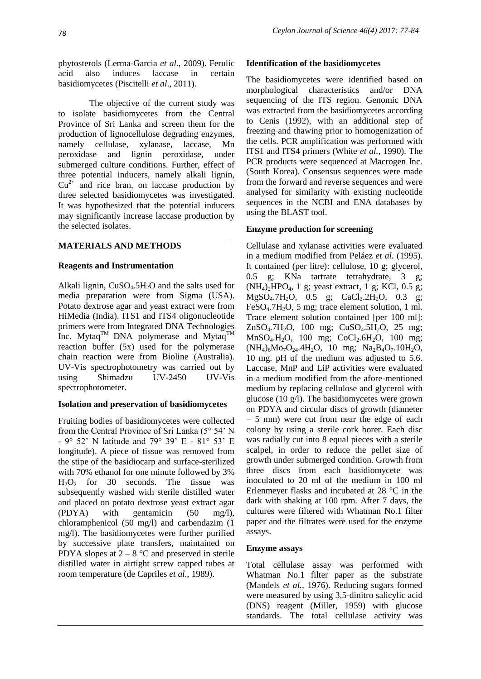phytosterols (Lerma-Garcia *et al*., 2009). Ferulic acid also induces laccase in certain basidiomycetes (Piscitelli *et al*., 2011).

 The objective of the current study was to isolate basidiomycetes from the Central Province of Sri Lanka and screen them for the production of lignocellulose degrading enzymes, namely cellulase, xylanase, laccase, Mn peroxidase and lignin peroxidase, under submerged culture conditions. Further, effect of three potential inducers, namely alkali lignin,  $Cu<sup>2+</sup>$  and rice bran, on laccase production by three selected basidiomycetes was investigated. It was hypothesized that the potential inducers may significantly increase laccase production by the selected isolates.

## **MATERIALS AND METHODS**

#### **Reagents and Instrumentation**

Alkali lignin,  $CuSO<sub>4</sub>.5H<sub>2</sub>O$  and the salts used for media preparation were from Sigma (USA). Potato dextrose agar and yeast extract were from HiMedia (India). ITS1 and ITS4 oligonucleotide primers were from Integrated DNA Technologies Inc. Mytaq<sup>TM</sup> DNA polymerase and Mytaq<sup>TM</sup> reaction buffer (5x) used for the polymerase chain reaction were from Bioline (Australia). UV-Vis spectrophotometry was carried out by using Shimadzu UV-2450 UV-Vis spectrophotometer.

## **Isolation and preservation of basidiomycetes**

Fruiting bodies of basidiomycetes were collected from the Central Province of Sri Lanka (5° 54' N - 9° 52' N latitude and 79° 39' E - 81° 53' E longitude). A piece of tissue was removed from the stipe of the basidiocarp and surface-sterilized with 70% ethanol for one minute followed by 3%  $H_2O_2$  for 30 seconds. The tissue was subsequently washed with sterile distilled water and placed on potato dextrose yeast extract agar (PDYA) with gentamicin (50 mg/l), chloramphenicol (50 mg/l) and carbendazim (1 mg/l). The basidiomycetes were further purified by successive plate transfers, maintained on PDYA slopes at  $2 - 8$  °C and preserved in sterile distilled water in airtight screw capped tubes at room temperature (de Capriles *et al.*, 1989).

#### **Identification of the basidiomycetes**

The basidiomycetes were identified based on morphological characteristics and/or DNA sequencing of the ITS region. Genomic DNA was extracted from the basidiomycetes according to Cenis (1992), with an additional step of freezing and thawing prior to homogenization of the cells. PCR amplification was performed with ITS1 and ITS4 primers (White *et al.*, 1990). The PCR products were sequenced at Macrogen Inc. (South Korea). Consensus sequences were made from the forward and reverse sequences and were analysed for similarity with existing nucleotide sequences in the NCBI and ENA databases by using the BLAST tool.

## **Enzyme production for screening**

Cellulase and xylanase activities were evaluated in a medium modified from Peláez *et al.* (1995). It contained (per litre): cellulose, 10 g; glycerol, 0.5 g; KNa tartrate tetrahydrate, 3 g;  $(NH_4)_2$ HPO<sub>4</sub>, 1 g; yeast extract, 1 g; KCl, 0.5 g;  $MgSO_4.7H_2O$ , 0.5 g;  $CaCl_2.2H_2O$ , 0.3 g; FeSO<sub>4</sub>.7H<sub>2</sub>O, 5 mg; trace element solution, 1 ml. Trace element solution contained [per 100 ml]:  $ZnSO<sub>4</sub>.7H<sub>2</sub>O$ , 100 mg;  $CuSO<sub>4</sub>.5H<sub>2</sub>O$ , 25 mg; MnSO<sub>4</sub>.H<sub>2</sub>O, 100 mg; CoCl<sub>2</sub>.6H<sub>2</sub>O, 100 mg;  $(NH_4)_6Mo_7O_{24}.4H_2O$ , 10 mg;  $Na_2B_4O_7.10H_2O$ , 10 mg. pH of the medium was adjusted to 5.6. Laccase, MnP and LiP activities were evaluated in a medium modified from the afore-mentioned medium by replacing cellulose and glycerol with glucose (10 g/l). The basidiomycetes were grown on PDYA and circular discs of growth (diameter  $= 5$  mm) were cut from near the edge of each colony by using a sterile cork borer. Each disc was radially cut into 8 equal pieces with a sterile scalpel, in order to reduce the pellet size of growth under submerged condition. Growth from three discs from each basidiomycete was inoculated to 20 ml of the medium in 100 ml Erlenmeyer flasks and incubated at 28 °C in the dark with shaking at 100 rpm. After 7 days, the cultures were filtered with Whatman No.1 filter paper and the filtrates were used for the enzyme assays.

#### **Enzyme assays**

Total cellulase assay was performed with Whatman No.1 filter paper as the substrate (Mandels *et al.*, 1976). Reducing sugars formed were measured by using 3,5-dinitro salicylic acid (DNS) reagent (Miller, 1959) with glucose standards. The total cellulase activity was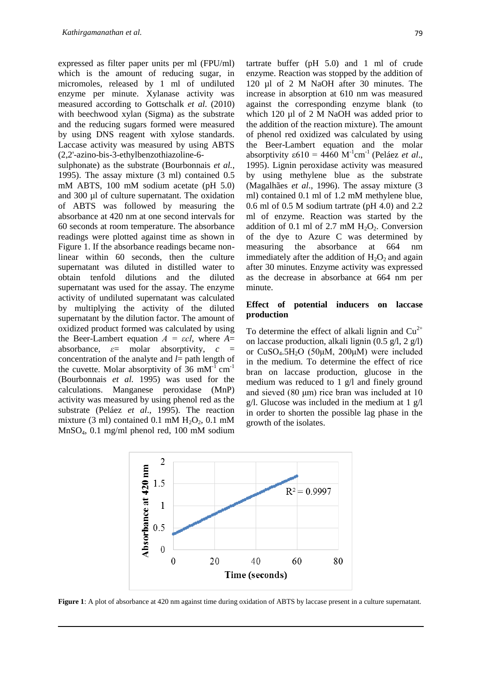expressed as filter paper units per ml (FPU/ml) which is the amount of reducing sugar, in micromoles, released by 1 ml of undiluted enzyme per minute. Xylanase activity was measured according to Gottschalk *et al.* (2010) with beechwood xylan (Sigma) as the substrate and the reducing sugars formed were measured by using DNS reagent with xylose standards. Laccase activity was measured by using ABTS (2,2'-azino-bis-3-ethylbenzothiazoline-6-

sulphonate) as the substrate (Bourbonnais *et al.*, 1995). The assay mixture (3 ml) contained 0.5 mM ABTS, 100 mM sodium acetate (pH 5.0) and 300 µl of culture supernatant. The oxidation of ABTS was followed by measuring the absorbance at 420 nm at one second intervals for 60 seconds at room temperature. The absorbance readings were plotted against time as shown in Figure 1. If the absorbance readings became nonlinear within 60 seconds, then the culture supernatant was diluted in distilled water to obtain tenfold dilutions and the diluted supernatant was used for the assay. The enzyme activity of undiluted supernatant was calculated by multiplying the activity of the diluted supernatant by the dilution factor. The amount of oxidized product formed was calculated by using the Beer-Lambert equation *A = εcl*, where *A*= absorbance,  $\varepsilon$  = molar absorptivity,  $c =$ concentration of the analyte and *l*= path length of the cuvette. Molar absorptivity of 36 mM $^{-1}$  cm<sup>-1</sup> (Bourbonnais *et al.* 1995) was used for the calculations. Manganese peroxidase (MnP) activity was measured by using phenol red as the substrate (Peláez *et al*., 1995). The reaction mixture (3 ml) contained 0.1 mM  $H_2O_2$ , 0.1 mM MnSO4, 0.1 mg/ml phenol red, 100 mM sodium

tartrate buffer (pH 5.0) and 1 ml of crude enzyme. Reaction was stopped by the addition of 120 µl of 2 M NaOH after 30 minutes. The increase in absorption at 610 nm was measured against the corresponding enzyme blank (to which 120 µl of 2 M NaOH was added prior to the addition of the reaction mixture). The amount of phenol red oxidized was calculated by using the Beer-Lambert equation and the molar absorptivity  $\varepsilon 610 = 4460 \text{ M}^{-1} \text{cm}^{-1}$  (Peláez *et al.*, 1995). Lignin peroxidase activity was measured by using methylene blue as the substrate (Magalhães *et al*., 1996). The assay mixture (3 ml) contained 0.1 ml of 1.2 mM methylene blue, 0.6 ml of 0.5 M sodium tartrate (pH 4.0) and 2.2 ml of enzyme. Reaction was started by the addition of 0.1 ml of 2.7 mM  $H_2O_2$ . Conversion of the dye to Azure C was determined by measuring the absorbance at 664 nm immediately after the addition of  $H_2O_2$  and again after 30 minutes. Enzyme activity was expressed as the decrease in absorbance at 664 nm per minute.

### **Effect of potential inducers on laccase production**

To determine the effect of alkali lignin and  $Cu^{2+}$ on laccase production, alkali lignin  $(0.5 \text{ g/l}, 2 \text{ g/l})$ or  $CuSO<sub>4</sub>$ .5H<sub>2</sub>O (50 $\mu$ M, 200 $\mu$ M) were included in the medium. To determine the effect of rice bran on laccase production, glucose in the medium was reduced to 1 g/l and finely ground and sieved (80 μm) rice bran was included at 10  $g/l$ . Glucose was included in the medium at 1  $g/l$ in order to shorten the possible lag phase in the growth of the isolates.



**Figure 1**: A plot of absorbance at 420 nm against time during oxidation of ABTS by laccase present in a culture supernatant.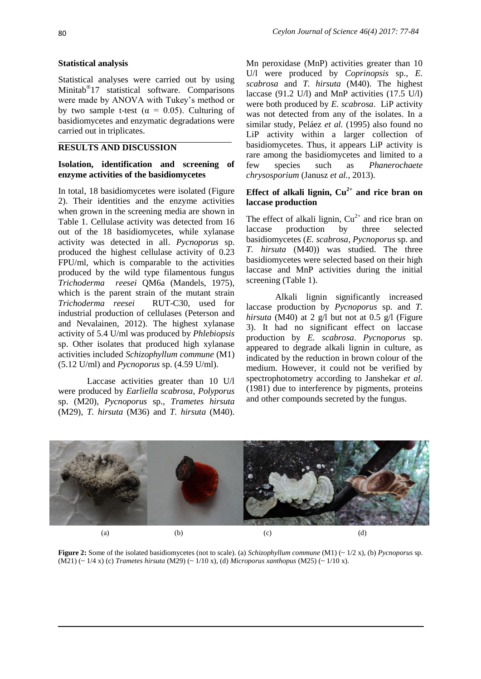#### **Statistical analysis**

Statistical analyses were carried out by using Minitab® 17 statistical software. Comparisons were made by ANOVA with Tukey's method or by two sample t-test ( $\alpha = 0.05$ ). Culturing of basidiomycetes and enzymatic degradations were carried out in triplicates.

## **RESULTS AND DISCUSSION**

#### **Isolation, identification and screening of enzyme activities of the basidiomycetes**

In total, 18 basidiomycetes were isolated (Figure 2). Their identities and the enzyme activities when grown in the screening media are shown in Table 1. Cellulase activity was detected from 16 out of the 18 basidiomycetes, while xylanase activity was detected in all. *Pycnoporus* sp. produced the highest cellulase activity of 0.23 FPU/ml, which is comparable to the activities produced by the wild type filamentous fungus *Trichoderma reesei* QM6a (Mandels, 1975), which is the parent strain of the mutant strain *Trichoderma reesei* RUT-C30, used for industrial production of cellulases (Peterson and and Nevalainen, 2012). The highest xylanase activity of 5.4 U/ml was produced by *Phlebiopsis* sp. Other isolates that produced high xylanase activities included *Schizophyllum commune* (M1) (5.12 U/ml) and *Pycnoporus* sp. (4.59 U/ml).

 Laccase activities greater than 10 U/l were produced by *Earliella scabrosa*, *Polyporus*  sp. (M20), *Pycnoporus* sp., *Trametes hirsuta* (M29), *T. hirsuta* (M36) and *T. hirsuta* (M40).

Mn peroxidase (MnP) activities greater than 10 U/l were produced by *Coprinopsis* sp., *E. scabrosa* and *T. hirsuta* (M40). The highest laccase (91.2 U/l) and MnP activities (17.5 U/l) were both produced by *E. scabrosa*. LiP activity was not detected from any of the isolates. In a similar study, Peláez *et al.* (1995) also found no LiP activity within a larger collection of basidiomycetes. Thus, it appears LiP activity is rare among the basidiomycetes and limited to a few species such as *Phanerochaete chrysosporium* (Janusz *et al.*, 2013).

## **Effect of alkali lignin,**  $Cu^{2+}$  **and rice bran on laccase production**

The effect of alkali lignin,  $Cu^{2+}$  and rice bran on laccase production by three selected basidiomycetes (*E. scabrosa*, *Pycnoporus* sp. and *T. hirsuta* (M40)) was studied. The three basidiomycetes were selected based on their high laccase and MnP activities during the initial screening (Table 1).

 Alkali lignin significantly increased laccase production by *Pycnoporus* sp. and *T. hirsuta* (M40) at 2 g/l but not at 0.5 g/l (Figure 3). It had no significant effect on laccase production by *E. scabrosa*. *Pycnoporus* sp. appeared to degrade alkali lignin in culture, as indicated by the reduction in brown colour of the medium. However, it could not be verified by spectrophotometry according to Janshekar *et al*. (1981) due to interference by pigments, proteins and other compounds secreted by the fungus.



**Figure 2:** Some of the isolated basidiomycetes (not to scale). (a) *Schizophyllum commune* (M1) (~ 1/2 x), (b) *Pycnoporus* sp. (M21) (~ 1/4 x) (c) *Trametes hirsuta* (M29) (~ 1/10 x), (d) *Microporus xanthopus* (M25) (~ 1/10 x).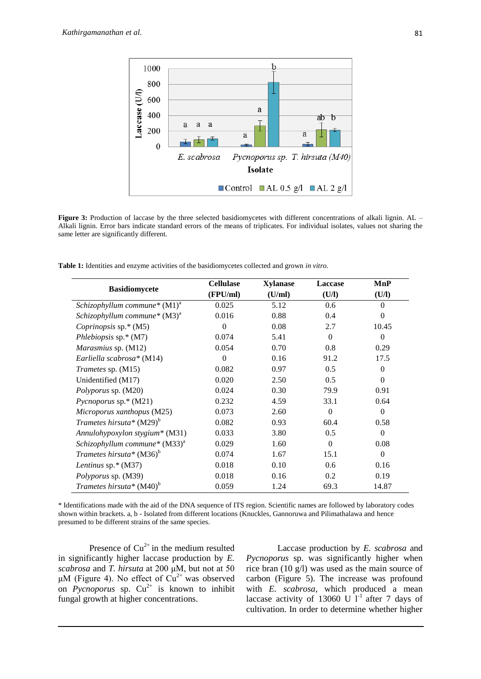

**Figure 3:** Production of laccase by the three selected basidiomycetes with different concentrations of alkali lignin. AL – Alkali lignin. Error bars indicate standard errors of the means of triplicates. For individual isolates, values not sharing the same letter are significantly different.

**Table 1:** Identities and enzyme activities of the basidiomycetes collected and grown *in vitro.*

| <b>Basidiomycete</b>               | <b>Cellulase</b> | <b>Xylanase</b> | <b>Laccase</b> | MnP            |
|------------------------------------|------------------|-----------------|----------------|----------------|
|                                    | (FPU/ml)         | (U/ml)          | (U/I)          | (U/I)          |
| Schizophyllum commune* $(M1)^a$    | 0.025            | 5.12            | 0.6            | $\Omega$       |
| Schizophyllum commune* $(M3)^a$    | 0.016            | 0.88            | 0.4            | $\theta$       |
| <i>Coprinopsis</i> sp. $*(M5)$     | $\Omega$         | 0.08            | 2.7            | 10.45          |
| Phlebiopsis $sp.* (M7)$            | 0.074            | 5.41            | $\Omega$       | $\Omega$       |
| Marasmius sp. (M12)                | 0.054            | 0.70            | 0.8            | 0.29           |
| Earliella scabrosa* (M14)          | $\theta$         | 0.16            | 91.2           | 17.5           |
| Trametes sp. (M15)                 | 0.082            | 0.97            | 0.5            | $\Omega$       |
| Unidentified (M17)                 | 0.020            | 2.50            | 0.5            | $\Omega$       |
| Polyporus sp. (M20)                | 0.024            | 0.30            | 79.9           | 0.91           |
| <i>Pycnoporus</i> sp.* $(M21)$     | 0.232            | 4.59            | 33.1           | 0.64           |
| Microporus xanthopus (M25)         | 0.073            | 2.60            | $\Omega$       | $\Omega$       |
| Trametes hirsuta* $(M29)^b$        | 0.082            | 0.93            | 60.4           | 0.58           |
| Annulohypoxylon stygium* (M31)     | 0.033            | 3.80            | 0.5            | $\Omega$       |
| Schizophyllum commune* $(M33)^{a}$ | 0.029            | 1.60            | $\theta$       | 0.08           |
| Trametes hirsuta* $(M36)^b$        | 0.074            | 1.67            | 15.1           | $\overline{0}$ |
| Lentinus sp. $*(M37)$              | 0.018            | 0.10            | 0.6            | 0.16           |
| Polyporus sp. (M39)                | 0.018            | 0.16            | 0.2            | 0.19           |
| Trametes hirsuta* $(M40)^b$        | 0.059            | 1.24            | 69.3           | 14.87          |

\* Identifications made with the aid of the DNA sequence of ITS region. Scientific names are followed by laboratory codes shown within brackets. a, b - Isolated from different locations (Knuckles, Gannoruwa and Pilimathalawa and hence presumed to be different strains of the same species.

Presence of  $Cu^{2+}$  in the medium resulted in significantly higher laccase production by *E. scabrosa* and *T. hirsuta* at 200 μM, but not at 50 μM (Figure 4). No effect of  $Cu<sup>2+</sup>$  was observed on *Pycnoporus* sp.  $Cu^{2+}$  is known to inhibit fungal growth at higher concentrations.

 Laccase production by *E. scabrosa* and *Pycnoporus* sp. was significantly higher when rice bran (10 g/l) was used as the main source of carbon (Figure 5). The increase was profound with *E. scabrosa*, which produced a mean laccase activity of 13060 U  $1^{-1}$  after 7 days of cultivation. In order to determine whether higher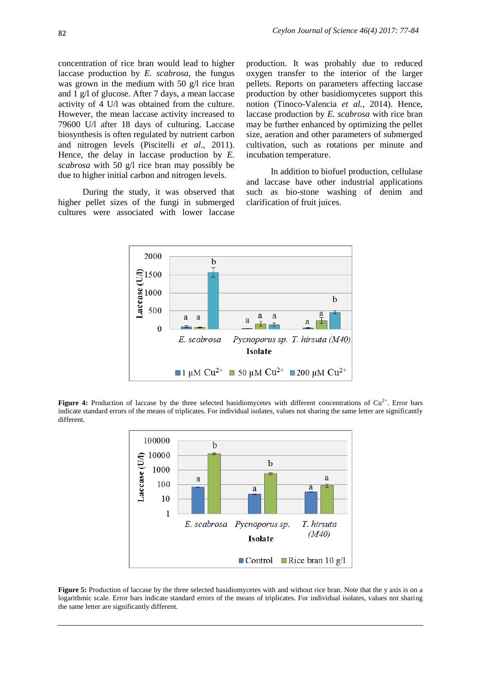concentration of rice bran would lead to higher laccase production by *E. scabrosa*, the fungus was grown in the medium with 50 g/l rice bran and 1 g/l of glucose. After 7 days, a mean laccase activity of 4 U/l was obtained from the culture. However, the mean laccase activity increased to 79600 U/l after 18 days of culturing. Laccase biosynthesis is often regulated by nutrient carbon and nitrogen levels (Piscitelli *et al*., 2011). Hence, the delay in laccase production by *E. scabrosa* with 50 g/l rice bran may possibly be due to higher initial carbon and nitrogen levels.

 During the study, it was observed that higher pellet sizes of the fungi in submerged cultures were associated with lower laccase

production. It was probably due to reduced oxygen transfer to the interior of the larger pellets. Reports on parameters affecting laccase production by other basidiomycetes support this notion (Tinoco-Valencia *et al.*, 2014). Hence, laccase production by *E. scabrosa* with rice bran may be further enhanced by optimizing the pellet size, aeration and other parameters of submerged cultivation, such as rotations per minute and incubation temperature.

 In addition to biofuel production, cellulase and laccase have other industrial applications such as bio-stone washing of denim and clarification of fruit juices.



**Figure 4:** Production of laccase by the three selected basidiomycetes with different concentrations of  $Cu<sup>2+</sup>$ . Error bars indicate standard errors of the means of triplicates. For individual isolates, values not sharing the same letter are significantly different.



**Figure 5:** Production of laccase by the three selected basidiomycetes with and without rice bran. Note that the y axis is on a logarithmic scale. Error bars indicate standard errors of the means of triplicates. For individual isolates, values not sharing the same letter are significantly different.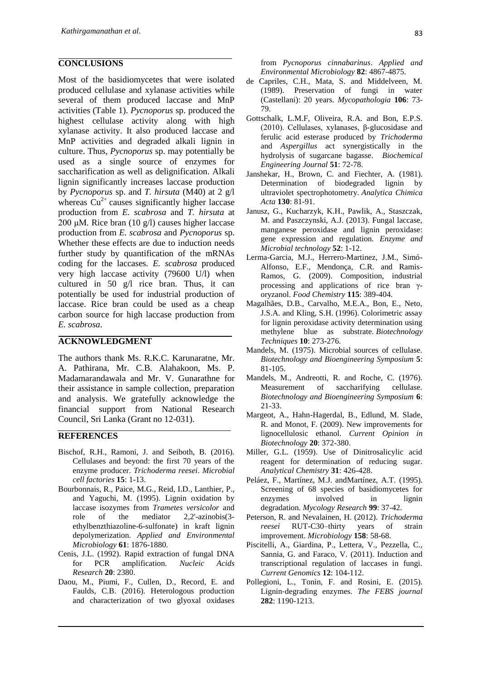#### **CONCLUSIONS**

Most of the basidiomycetes that were isolated produced cellulase and xylanase activities while several of them produced laccase and MnP activities (Table 1). *Pycnoporus* sp. produced the highest cellulase activity along with high xylanase activity. It also produced laccase and MnP activities and degraded alkali lignin in culture. Thus, *Pycnoporus* sp. may potentially be used as a single source of enzymes for saccharification as well as delignification. Alkali lignin significantly increases laccase production by *Pycnoporus* sp. and *T. hirsuta* (M40) at 2 g/l whereas  $Cu^{2+}$  causes significantly higher laccase production from *E. scabrosa* and *T. hirsuta* at 200 μM*.* Rice bran (10 g/l) causes higher laccase production from *E. scabrosa* and *Pycnoporus* sp. Whether these effects are due to induction needs further study by quantification of the mRNAs coding for the laccases. *E. scabrosa* produced very high laccase activity (79600 U/l) when cultured in 50 g/l rice bran. Thus, it can potentially be used for industrial production of laccase. Rice bran could be used as a cheap carbon source for high laccase production from *E. scabrosa*.

## **ACKNOWLEDGMENT**

The authors thank Ms. R.K.C. Karunaratne, Mr. A. Pathirana, Mr. C.B. Alahakoon, Ms. P. Madamarandawala and Mr. V. Gunarathne for their assistance in sample collection, preparation and analysis. We gratefully acknowledge the financial support from National Research Council, Sri Lanka (Grant no 12-031).

#### **REFERENCES**

- Bischof, R.H., Ramoni, J. and Seiboth, B. (2016). Cellulases and beyond: the first 70 years of the enzyme producer. *Trichoderma reesei*. *Microbial cell factories* **15**: 1-13.
- Bourbonnais, R., Paice, M.G., Reid, I.D., Lanthier, P., and Yaguchi, M. (1995). Lignin oxidation by laccase isozymes from *Trametes versicolor* and role of the mediator 2,2'-azinobis(3 ethylbenzthiazoline-6-sulfonate) in kraft lignin depolymerization. *Applied and Environmental Microbiology* **61**: 1876-1880.
- Cenis, J.L. (1992). Rapid extraction of fungal DNA for PCR amplification. *Nucleic Acids Research* **20**: 2380.
- Daou, M., Piumi, F., Cullen, D., Record, E. and Faulds, C.B. (2016). Heterologous production and characterization of two glyoxal oxidases

from *Pycnoporus cinnabarinus*. *Applied and Environmental Microbiology* **82**: 4867-4875.

- de Capriles, C.H., Mata, S. and Middelveen, M. (1989). Preservation of fungi in water (Castellani): 20 years. *Mycopathologia* **106**: 73- 79.
- Gottschalk, L.M.F, Oliveira, R.A. and Bon, E.P.S. (2010). Cellulases, xylanases, β-glucosidase and ferulic acid esterase produced by *Trichoderma* and *Aspergillus* act synergistically in the hydrolysis of sugarcane bagasse. *Biochemical Engineering Journal* **51**: 72-78.
- Janshekar, H., Brown, C. and Fiechter, A. (1981). Determination of biodegraded lignin by ultraviolet spectrophotometry. *Analytica Chimica Acta* **130**: 81-91.
- Janusz, G., Kucharzyk, K.H., Pawlik, A., Staszczak, M. and Paszczynski, A.J. (2013). Fungal laccase, manganese peroxidase and lignin peroxidase: gene expression and regulation. *Enzyme and Microbial technology* **52**: 1-12.
- Lerma-Garcia, M.J., Herrero-Martinez, J.M., Simó-Alfonso, E.F., Mendonça, C.R. and Ramis-Ramos, G. (2009). Composition, industrial processing and applications of rice bran γoryzanol. *Food Chemistry* **115**: 389-404.
- Magalhães, D.B., Carvalho, M.E.A., Bon, E., Neto, J.S.A. and Kling, S.H. (1996). Colorimetric assay for lignin peroxidase activity determination using methylene blue as substrate. *Biotechnology Techniques* **10**: 273-276.
- Mandels, M. (1975). Microbial sources of cellulase. *Biotechnology and Bioengineering Symposium* **5**: 81-105.
- Mandels, M., Andreotti, R. and Roche, C. (1976). Measurement of saccharifying cellulase. *Biotechnology and Bioengineering Symposium* **6**: 21-33.
- Margeot, A., Hahn-Hagerdal, B., Edlund, M. Slade, R. and Monot, F. (2009). New improvements for lignocellulosic ethanol. *Current Opinion in Biotechnology* **20**: 372-380.
- Miller, G.L. (1959). Use of Dinitrosalicylic acid reagent for determination of reducing sugar. *Analytical Chemistry* **31**: 426-428.
- Peláez, F., Martínez, M.J. andMartínez, A.T. (1995). Screening of 68 species of basidiomycetes for enzymes involved in lignin degradation. *Mycology Research* **99**: 37-42.
- Peterson, R. and Nevalainen, H. (2012). *Trichoderma reesei* RUT-C30–thirty years of strain improvement. *Microbiology* **158**: 58-68.
- Piscitelli, A., Giardina, P., Lettera, V., Pezzella, C., Sannia, G. and Faraco, V. (2011). Induction and transcriptional regulation of laccases in fungi. *Current Genomics* **12**: 104-112.
- Pollegioni, L., Tonin, F. and Rosini, E. (2015). Lignin‐degrading enzymes. *The FEBS journal* **282**: 1190-1213.